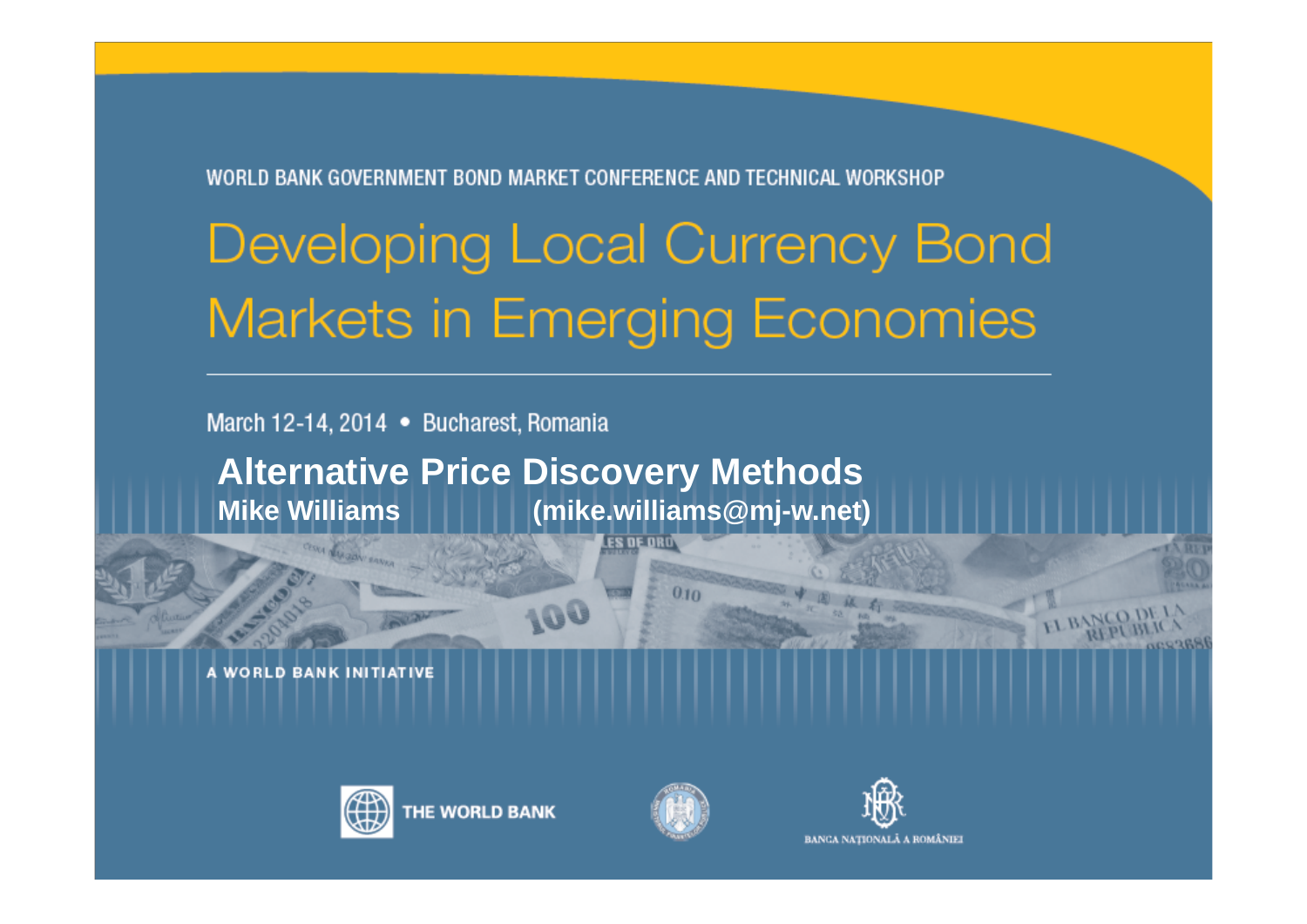WORLD BANK GOVERNMENT BOND MARKET CONFERENCE AND TECHNICAL WORKSHOP

# Developing Local Currency Bond **Markets in Emerging Economies**

March 12-14, 2014 • Bucharest, Romania

**Alternative Price Discovery Methods Mike Williams (mike.williams@mj-w.net)**

100

**VORLD BANK INITIATIVE** 





**ES DE ORO** 

 $010$ 

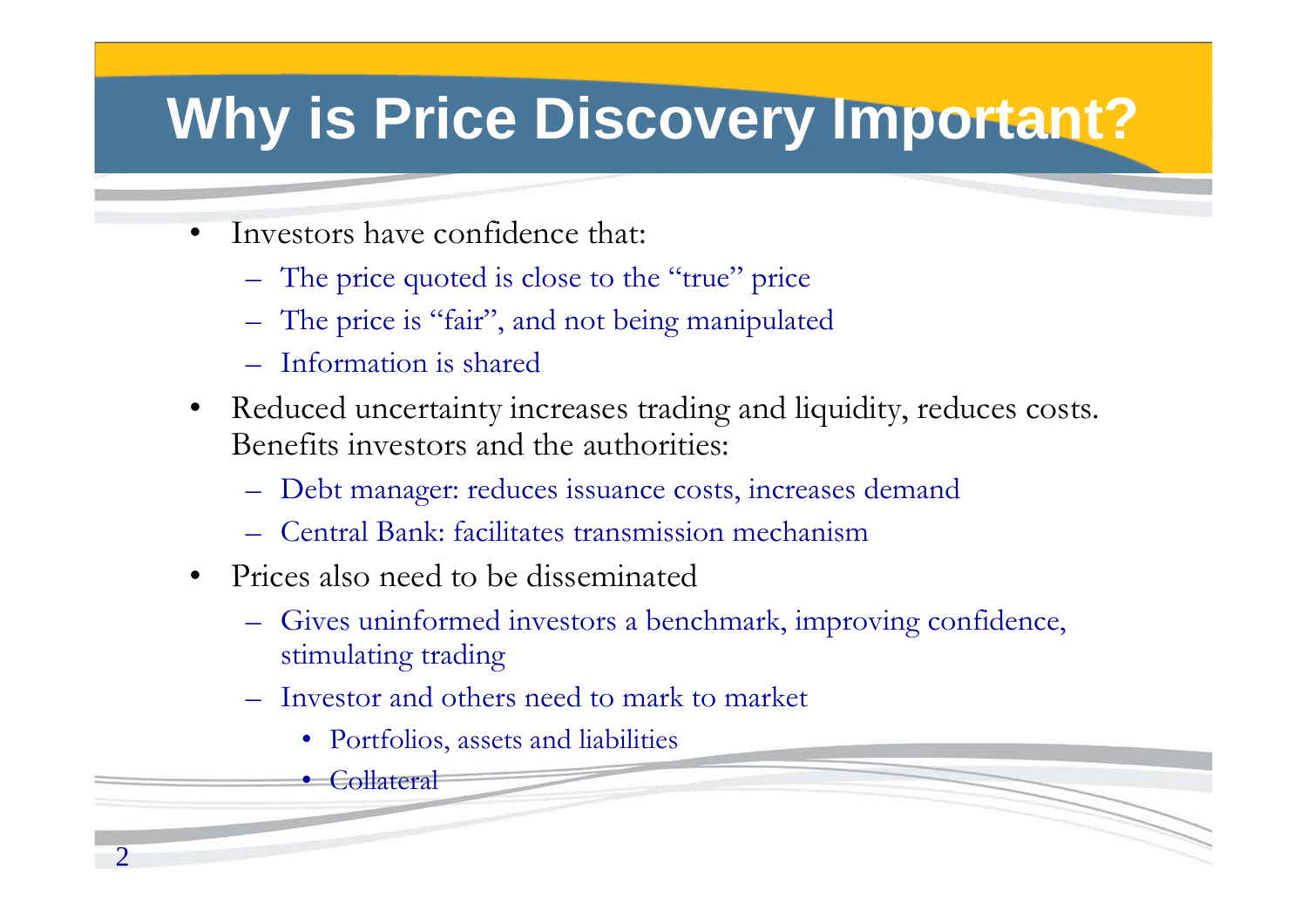## **Why is Price Discovery Important?**

- • Investors have confidence that:
	- The price quoted is close to the "true" price
	- The price is "fair", and not being manipulated
	- Information is shared
- • Reduced uncertainty increases trading and liquidity, reduces costs. Benefits investors and the authorities:
	- Debt manager: reduces issuance costs, increases demand
	- Central Bank: facilitates transmission mechanism
- Prices also need to be disseminated
	- Gives uninformed investors a benchmark, improving confidence, stimulating trading
	- Investor and others need to mark to market
		- Portfolios, assets and liabilities
		- Collateral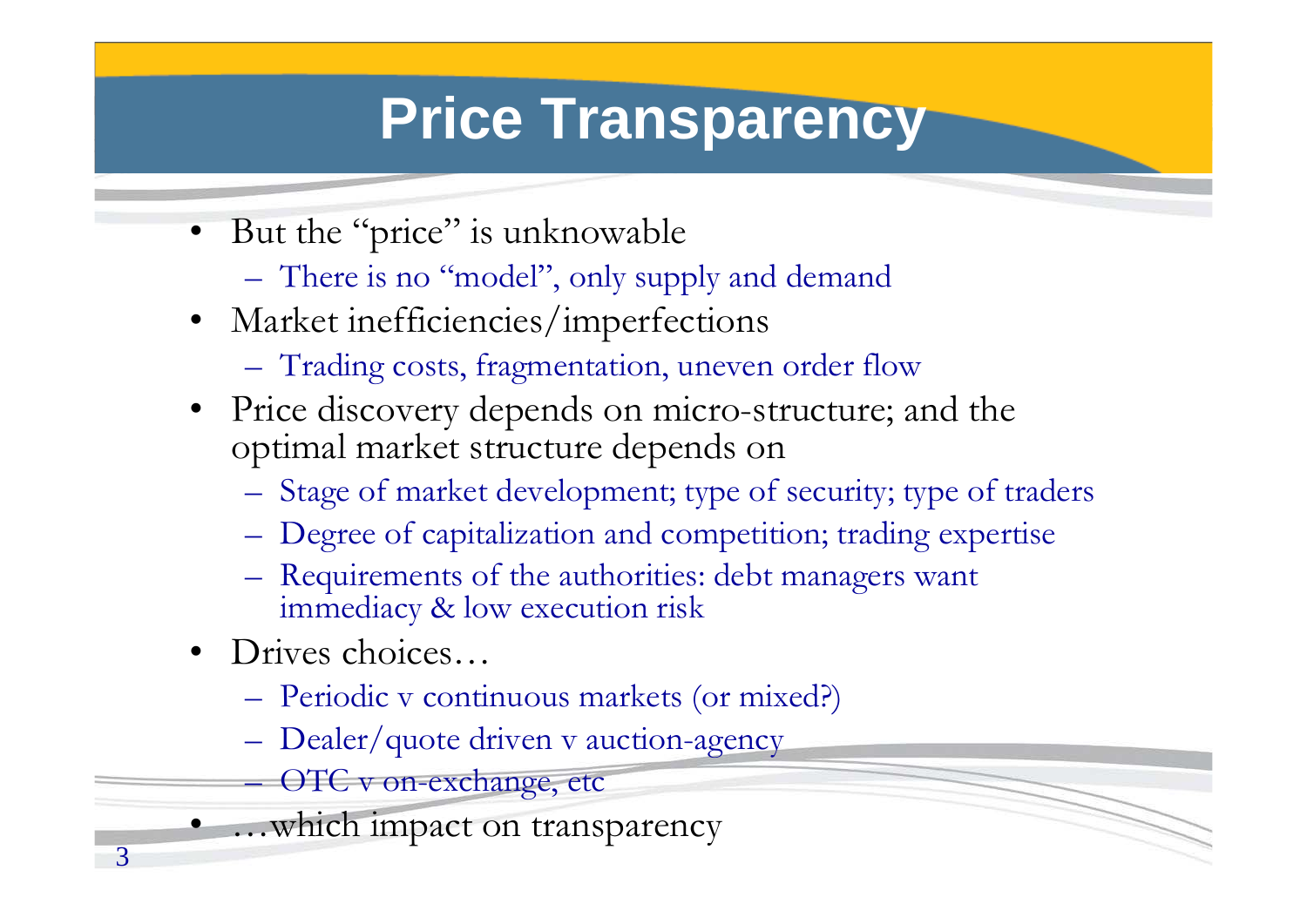## **Price Transparency**

- •But the "price" is unknowable
	- There is no "model", only supply and demand
- Market inefficiencies/imperfections
	- Trading costs, fragmentation, uneven order flow
- Price discovery depends on micro-structure; and the optimal market structure depends on
	- Stage of market development; type of security; type of traders
	- Degree of capitalization and competition; trading expertise
	- Requirements of the authorities: debt managers want immediacy & low execution risk
- Drives choices…

3

•

- Periodic v continuous markets (or mixed?)
- Dealer/quote driven v auction-agency
	- OTC v on-exchange, etc
- …which impact on transparency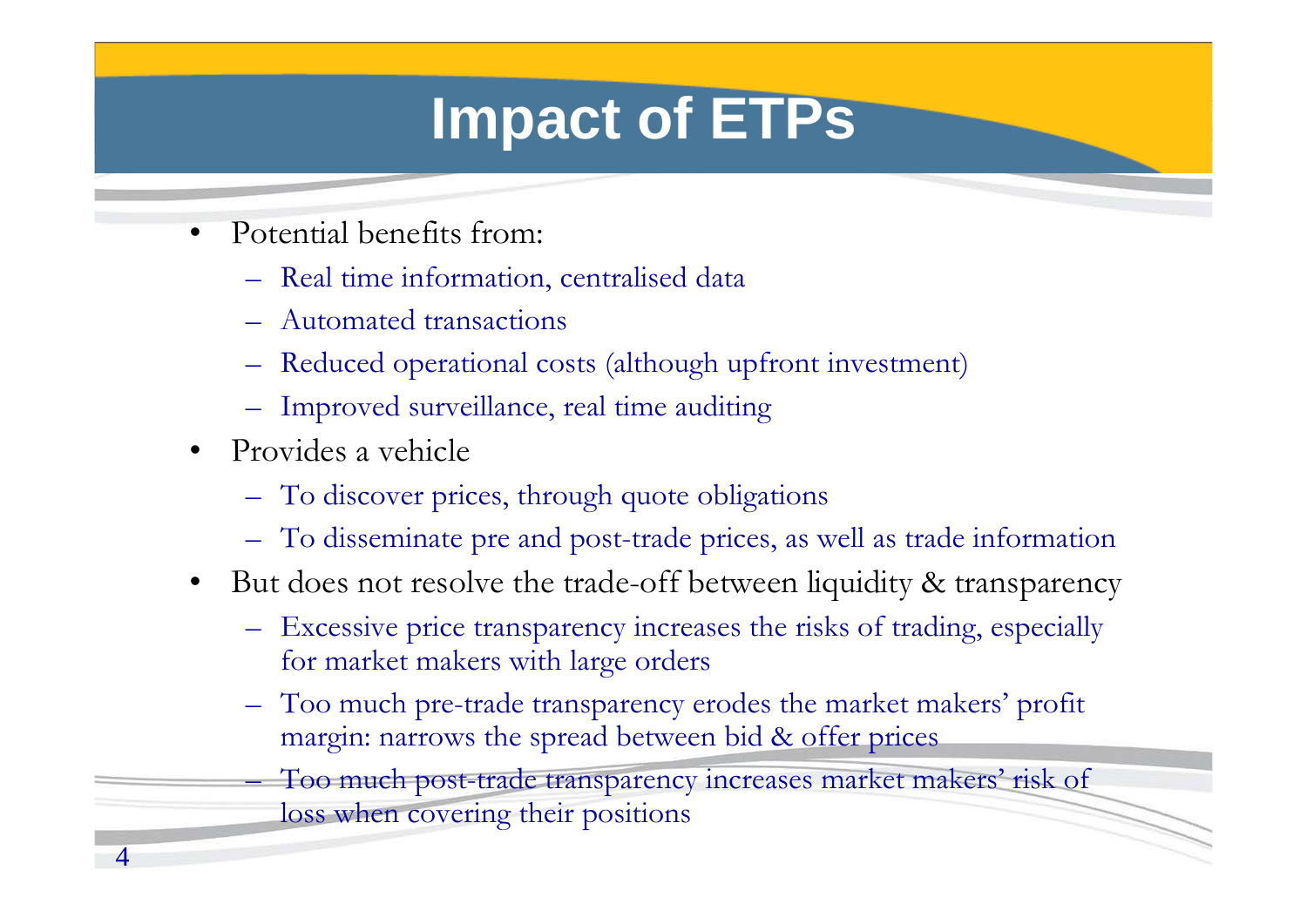## **Impact of ETPs**

- • Potential benefits from:
	- Real time information, centralised data
	- Automated transactions
	- Reduced operational costs (although upfront investment)
	- Improved surveillance, real time auditing
- Provides a vehicle
	- To discover prices, through quote obligations
	- To disseminate pre and post-trade prices, as well as trade information
- • But does not resolve the trade-off between liquidity & transparency
	- Excessive price transparency increases the risks of trading, especially for market makers with large orders
	- Too much pre-trade transparency erodes the market makers' profit margin: narrows the spread between bid & offer prices

 Too much post-trade transparency increases market makers' risk of loss when covering their positions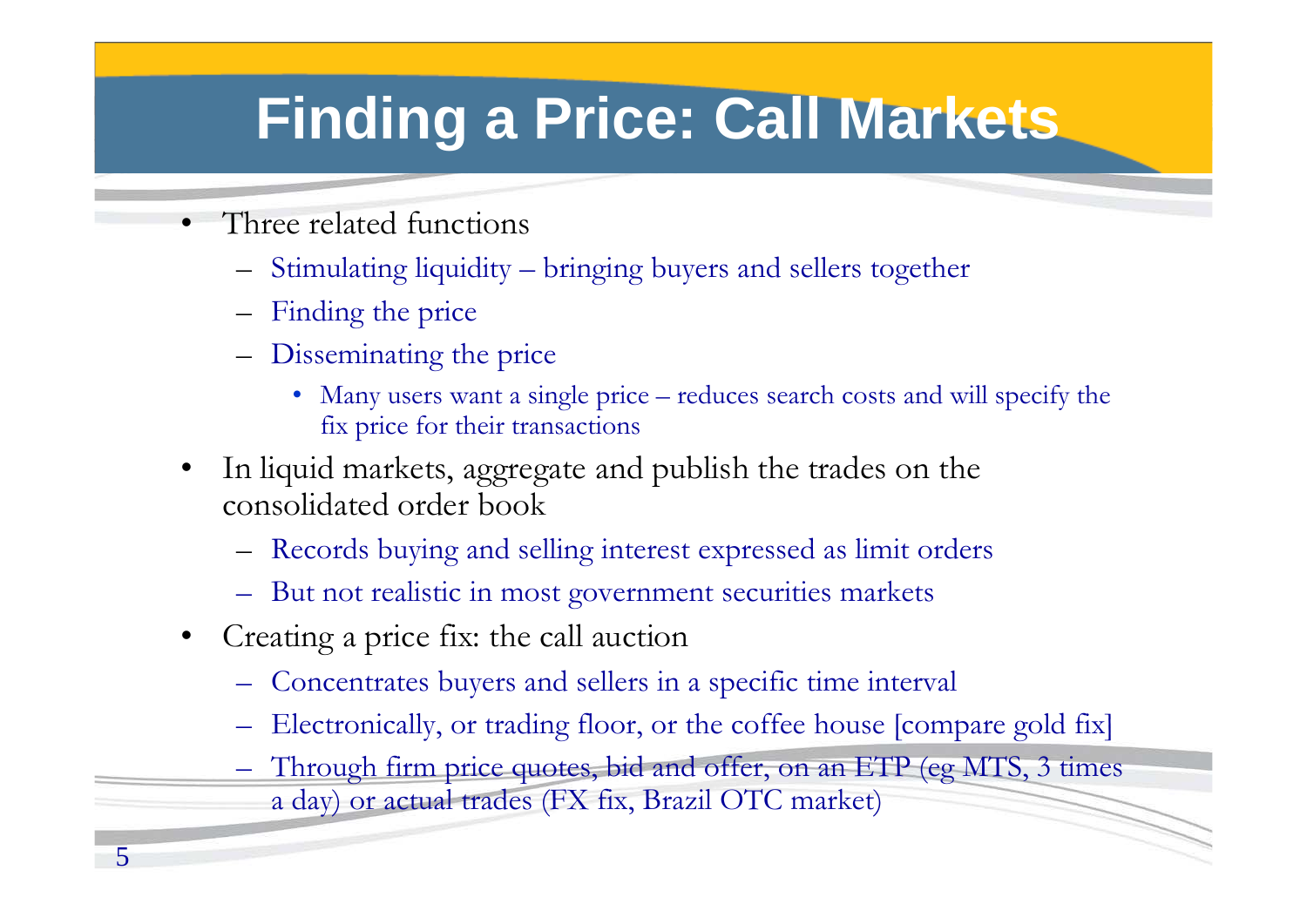## **Finding a Price: Call Markets**

- • Three related functions
	- Stimulating liquidity bringing buyers and sellers together
	- Finding the price
	- Disseminating the price
		- Many users want a single price reduces search costs and will specify the fix price for their transactions
- • In liquid markets, aggregate and publish the trades on the consolidated order book
	- Records buying and selling interest expressed as limit orders
	- But not realistic in most government securities markets
- $\bullet$  Creating a price fix: the call auction
	- Concentrates buyers and sellers in a specific time interval
	- –Electronically, or trading floor, or the coffee house [compare gold fix]
	- Through firm price quotes, bid and offer, on an ETP (eg MTS, 3 times a day) or actual trades (FX fix, Brazil OTC market)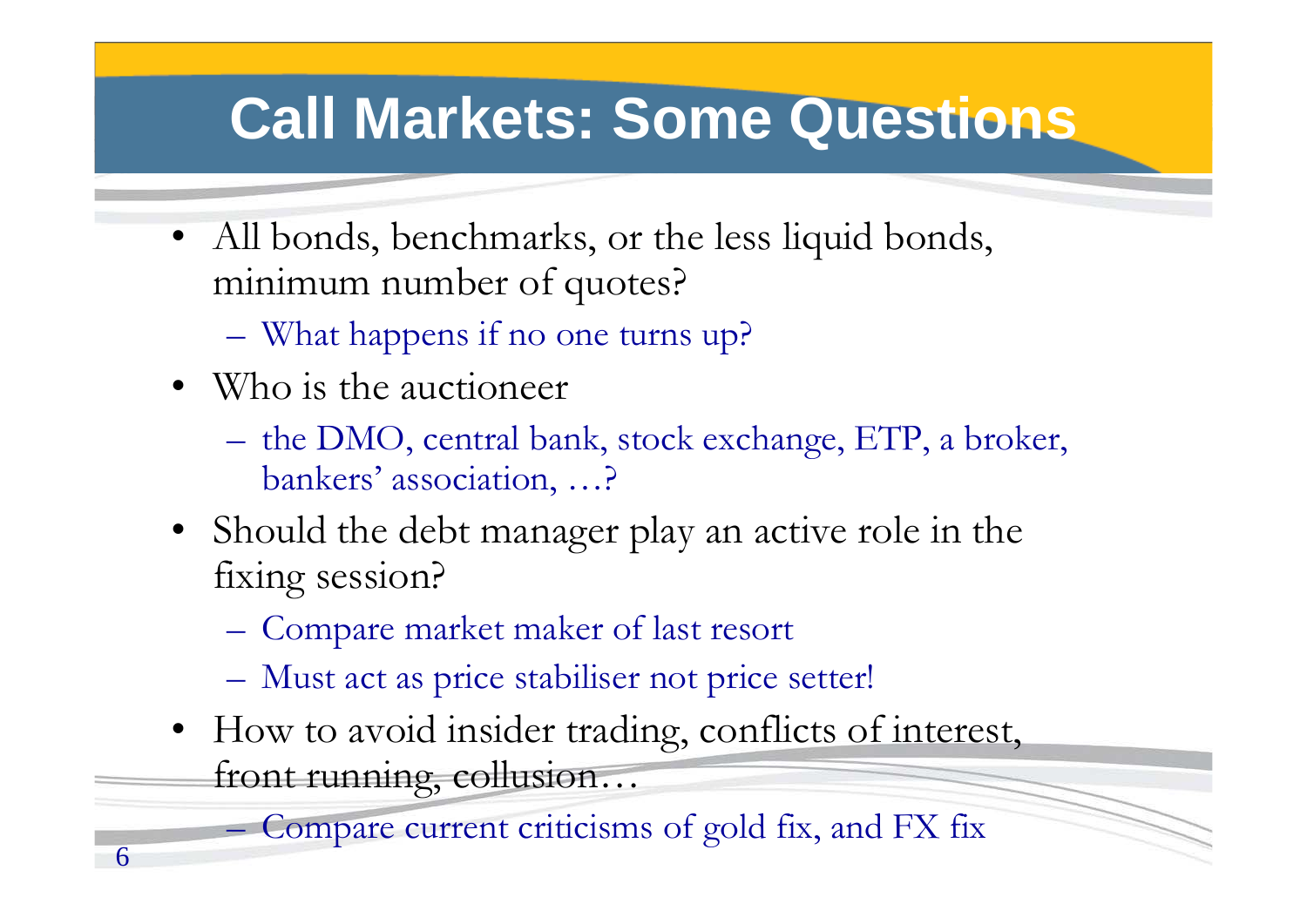## **Call Markets: Some Questions**

- • All bonds, benchmarks, or the less liquid bonds, minimum number of quotes?
	- What happens if no one turns up?
- Who is the auctioneer

6

- the DMO, central bank, stock exchange, ETP, a broker, bankers' association, …?
- Should the debt manager play an active role in the fixing session?
	- Compare market maker of last resort
	- Must act as price stabiliser not price setter!
- How to avoid insider trading, conflicts of interest, front running, collusion…

Compare current criticisms of gold fix, and FX fix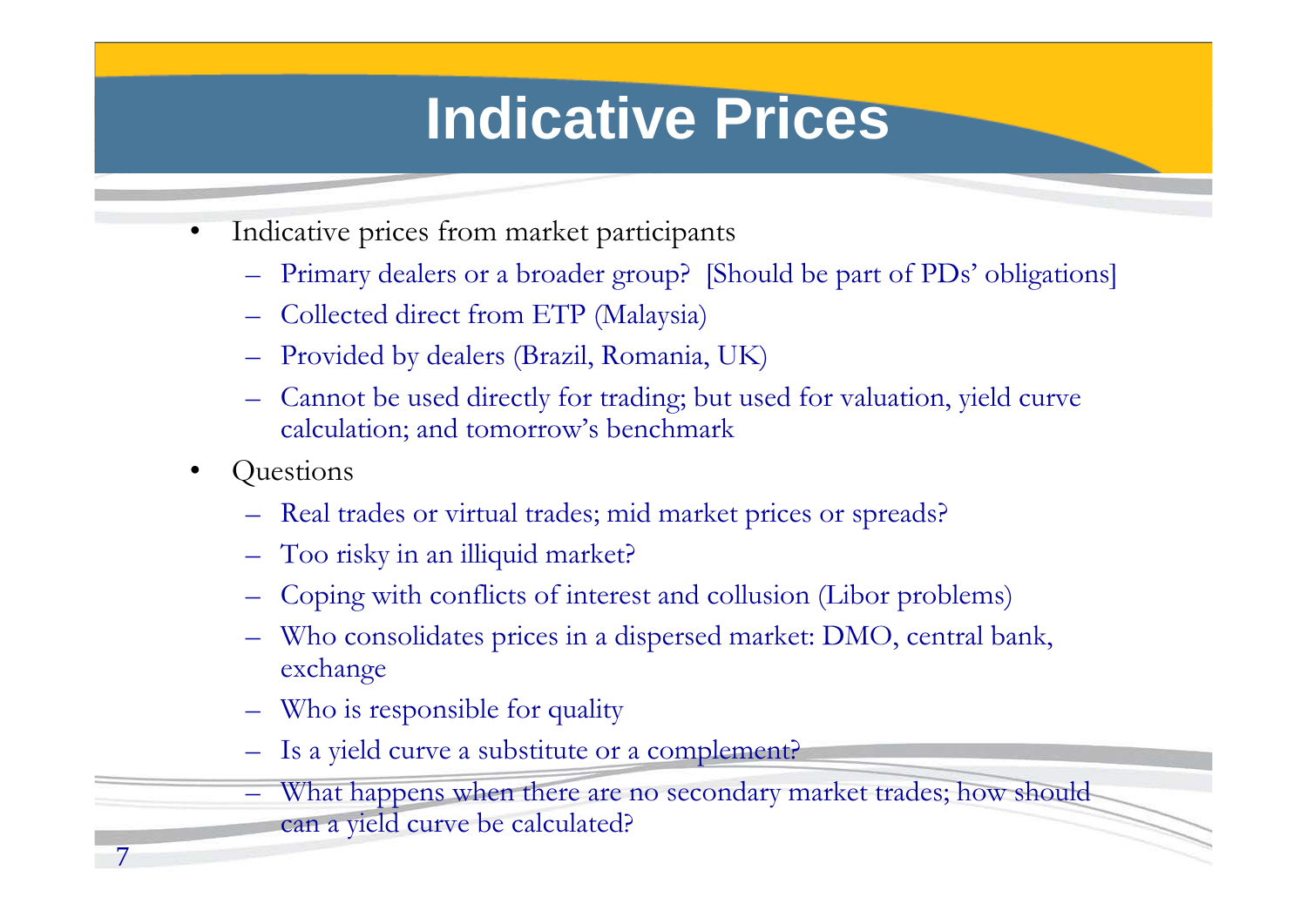#### **Indicative Prices**

- • Indicative prices from market participants
	- Primary dealers or a broader group? [Should be part of PDs' obligations]
	- Collected direct from ETP (Malaysia)
	- Provided by dealers (Brazil, Romania, UK)
	- Cannot be used directly for trading; but used for valuation, yield curve calculation; and tomorrow's benchmark
- •**Questions**

7

- Real trades or virtual trades; mid market prices or spreads?
- Too risky in an illiquid market?
- Coping with conflicts of interest and collusion (Libor problems)
- Who consolidates prices in a dispersed market: DMO, central bank, exchange
- Who is responsible for quality
- Is a yield curve a substitute or a complement?
- What happens when there are no secondary market trades; how should can a yield curve be calculated?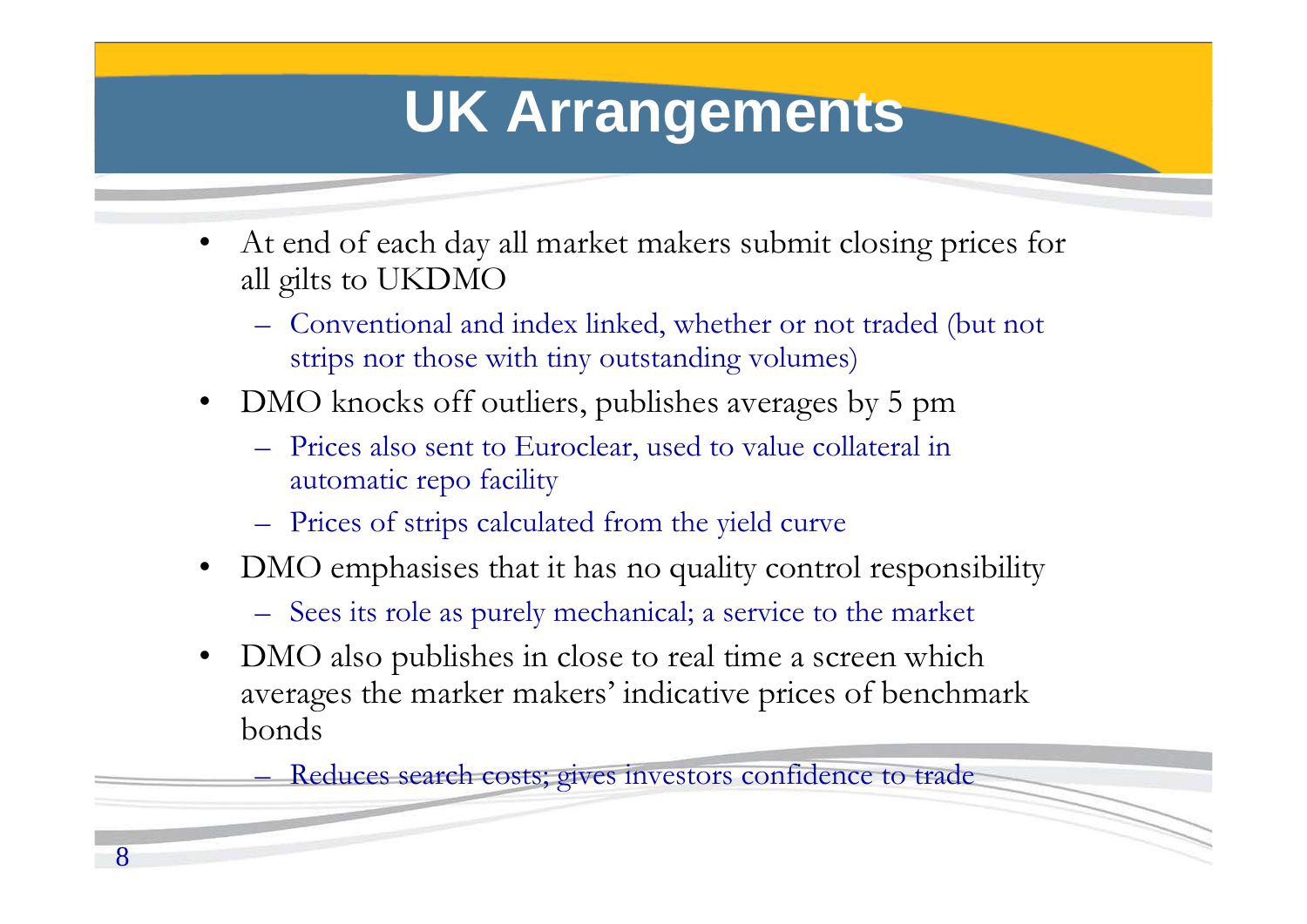## **UK Arrangements**

- $\bullet$  At end of each day all market makers submit closing prices for all gilts to UKDMO
	- Conventional and index linked, whether or not traded (but not strips nor those with tiny outstanding volumes)
- $\bullet$  DMO knocks off outliers, publishes averages by 5 pm
	- Prices also sent to Euroclear, used to value collateral in automatic repo facility
	- Prices of strips calculated from the yield curve
- $\bullet$  DMO emphasises that it has no quality control responsibility
	- Sees its role as purely mechanical; a service to the market
- • DMO also publishes in close to real time a screen which averages the marker makers' indicative prices of benchmark bonds

Reduces search costs; gives investors confidence to trade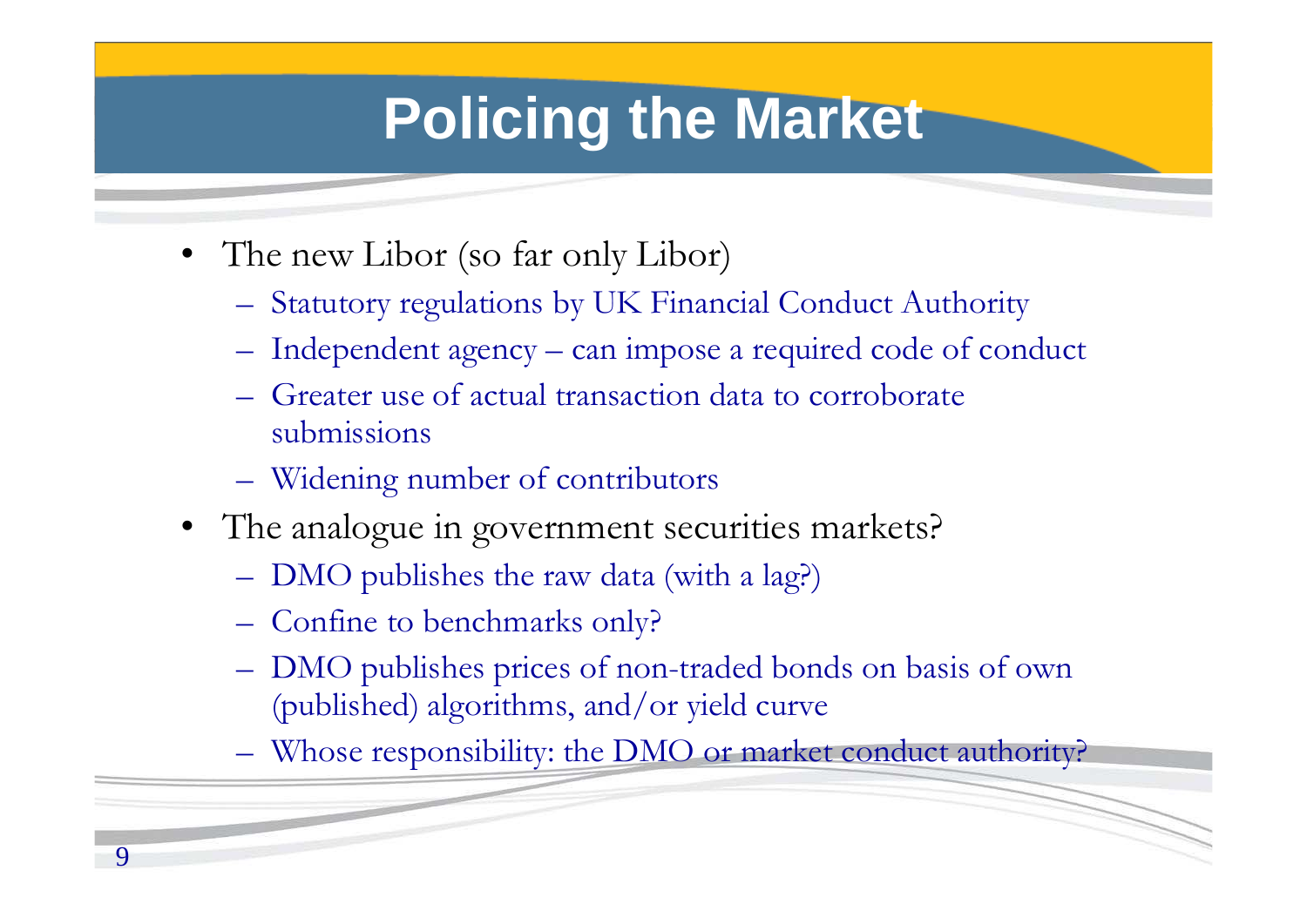## **Policing the Market**

- The new Libor (so far only Libor)
	- Statutory regulations by UK Financial Conduct Authority
	- Independent agency can impose a required code of conduct
	- Greater use of actual transaction data to corroborate submissions
	- Widening number of contributors
- The analogue in government securities markets?
	- DMO publishes the raw data (with a lag?)
	- Confine to benchmarks only?
	- DMO publishes prices of non-traded bonds on basis of own (published) algorithms, and/or yield curve
	- Whose responsibility: the DMO or market conduct authority?